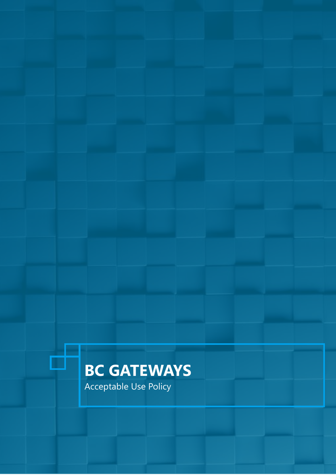# **BC GATEWAYS**

Acceptable Use Policy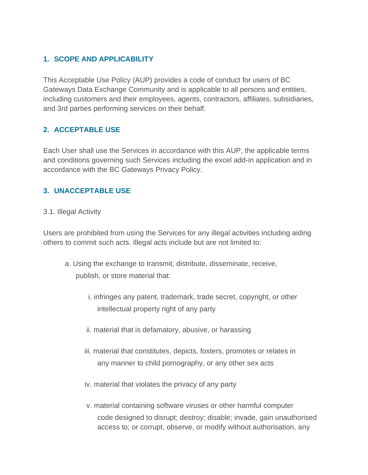## **1. SCOPE AND APPLICABILITY**

This Acceptable Use Policy (AUP) provides a code of conduct for users of BC Gateways Data Exchange Community and is applicable to all persons and entities, including customers and their employees, agents, contractors, affiliates, subsidiaries, and 3rd parties performing services on their behalf.

## **2. ACCEPTABLE USE**

Each User shall use the Services in accordance with this AUP, the applicable terms and conditions governing such Services including the excel add-in application and in accordance with the BC Gateways Privacy Policy.

## **3. UNACCEPTABLE USE**

#### 3.1. Illegal Activity

Users are prohibited from using the Services for any illegal activities including aiding others to commit such acts. Illegal acts include but are not limited to:

- a. Using the exchange to transmit, distribute, disseminate, receive, publish, or store material that:
	- i. infringes any patent, trademark, trade secret, copyright, or other intellectual property right of any party
	- ii. material that is defamatory, abusive, or harassing
	- iii. material that constitutes, depicts, fosters, promotes or relates in any manner to child pornography, or any other sex acts
	- iv. material that violates the privacy of any party
	- v. material containing software viruses or other harmful computer code designed to disrupt; destroy; disable; invade, gain unauthorised access to; or corrupt, observe, or modify without authorisation, any